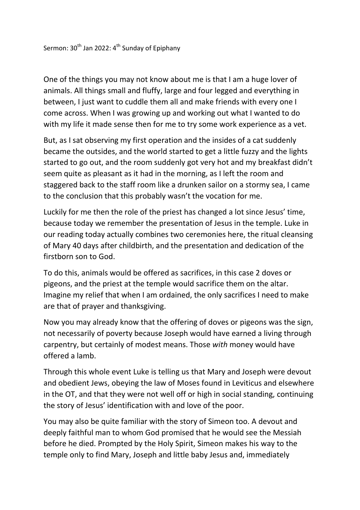One of the things you may not know about me is that I am a huge lover of animals. All things small and fluffy, large and four legged and everything in between, I just want to cuddle them all and make friends with every one I come across. When I was growing up and working out what I wanted to do with my life it made sense then for me to try some work experience as a vet.

But, as I sat observing my first operation and the insides of a cat suddenly became the outsides, and the world started to get a little fuzzy and the lights started to go out, and the room suddenly got very hot and my breakfast didn't seem quite as pleasant as it had in the morning, as I left the room and staggered back to the staff room like a drunken sailor on a stormy sea, I came to the conclusion that this probably wasn't the vocation for me.

Luckily for me then the role of the priest has changed a lot since Jesus' time, because today we remember the presentation of Jesus in the temple. Luke in our reading today actually combines two ceremonies here, the ritual cleansing of Mary 40 days after childbirth, and the presentation and dedication of the firstborn son to God.

To do this, animals would be offered as sacrifices, in this case 2 doves or pigeons, and the priest at the temple would sacrifice them on the altar. Imagine my relief that when I am ordained, the only sacrifices I need to make are that of prayer and thanksgiving.

Now you may already know that the offering of doves or pigeons was the sign, not necessarily of poverty because Joseph would have earned a living through carpentry, but certainly of modest means. Those *with* money would have offered a lamb.

Through this whole event Luke is telling us that Mary and Joseph were devout and obedient Jews, obeying the law of Moses found in Leviticus and elsewhere in the OT, and that they were not well off or high in social standing, continuing the story of Jesus' identification with and love of the poor.

You may also be quite familiar with the story of Simeon too. A devout and deeply faithful man to whom God promised that he would see the Messiah before he died. Prompted by the Holy Spirit, Simeon makes his way to the temple only to find Mary, Joseph and little baby Jesus and, immediately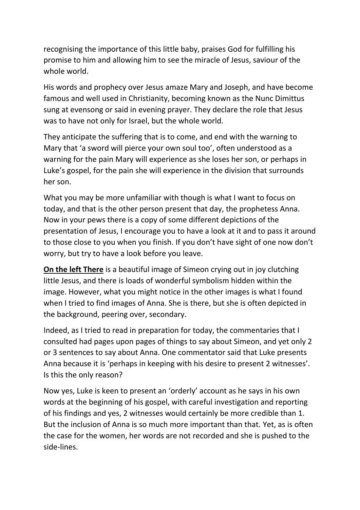recognising the importance of this little baby, praises God for fulfilling his promise to him and allowing him to see the miracle of Jesus, saviour of the whole world.

His words and prophecy over Jesus amaze Mary and Joseph, and have become famous and well used in Christianity, becoming known as the Nunc Dimittus sung at evensong or said in evening prayer. They declare the role that Jesus was to have not only for Israel, but the whole world.

They anticipate the suffering that is to come, and end with the warning to Mary that 'a sword will pierce your own soul too', often understood as a warning for the pain Mary will experience as she loses her son, or perhaps in Luke's gospel, for the pain she will experience in the division that surrounds her son.

What you may be more unfamiliar with though is what I want to focus on today, and that is the other person present that day, the prophetess Anna. Now in your pews there is a copy of some different depictions of the presentation of Jesus, I encourage you to have a look at it and to pass it around to those close to you when you finish. If you don't have sight of one now don't worry, but try to have a look before you leave.

**On the left There** is a beautiful image of Simeon crying out in joy clutching little Jesus, and there is loads of wonderful symbolism hidden within the image. However, what you might notice in the other images is what I found when I tried to find images of Anna. She is there, but she is often depicted in the background, peering over, secondary.

Indeed, as I tried to read in preparation for today, the commentaries that I consulted had pages upon pages of things to say about Simeon, and yet only 2 or 3 sentences to say about Anna. One commentator said that Luke presents Anna because it is 'perhaps in keeping with his desire to present 2 witnesses'. Is this the only reason?

Now yes, Luke is keen to present an 'orderly' account as he says in his own words at the beginning of his gospel, with careful investigation and reporting of his findings and yes, 2 witnesses would certainly be more credible than 1. But the inclusion of Anna is so much more important than that. Yet, as is often the case for the women, her words are not recorded and she is pushed to the side-lines.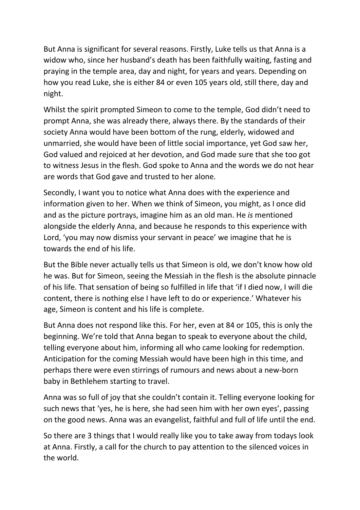But Anna is significant for several reasons. Firstly, Luke tells us that Anna is a widow who, since her husband's death has been faithfully waiting, fasting and praying in the temple area, day and night, for years and years. Depending on how you read Luke, she is either 84 or even 105 years old, still there, day and night.

Whilst the spirit prompted Simeon to come to the temple, God didn't need to prompt Anna, she was already there, always there. By the standards of their society Anna would have been bottom of the rung, elderly, widowed and unmarried, she would have been of little social importance, yet God saw her, God valued and rejoiced at her devotion, and God made sure that she too got to witness Jesus in the flesh. God spoke to Anna and the words we do not hear are words that God gave and trusted to her alone.

Secondly, I want you to notice what Anna does with the experience and information given to her. When we think of Simeon, you might, as I once did and as the picture portrays, imagine him as an old man. He *is* mentioned alongside the elderly Anna, and because he responds to this experience with Lord, 'you may now dismiss your servant in peace' we imagine that he is towards the end of his life.

But the Bible never actually tells us that Simeon is old, we don't know how old he was. But for Simeon, seeing the Messiah in the flesh is the absolute pinnacle of his life. That sensation of being so fulfilled in life that 'if I died now, I will die content, there is nothing else I have left to do or experience.' Whatever his age, Simeon is content and his life is complete.

But Anna does not respond like this. For her, even at 84 or 105, this is only the beginning. We're told that Anna began to speak to everyone about the child, telling everyone about him, informing all who came looking for redemption. Anticipation for the coming Messiah would have been high in this time, and perhaps there were even stirrings of rumours and news about a new-born baby in Bethlehem starting to travel.

Anna was so full of joy that she couldn't contain it. Telling everyone looking for such news that 'yes, he is here, she had seen him with her own eyes', passing on the good news. Anna was an evangelist, faithful and full of life until the end.

So there are 3 things that I would really like you to take away from todays look at Anna. Firstly, a call for the church to pay attention to the silenced voices in the world.